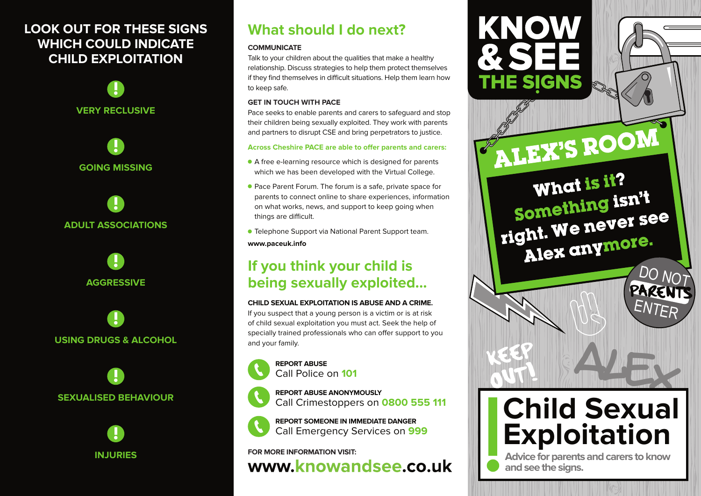# **LOOK OUT FOR THESE SIGNS WHICH COULD INDICATE CHILD EXPLOITATION**





**ADULT ASSOCIATIONS**



**USING DRUGS & ALCOHOL**





# **What should I do next?**

## **COMMUNICATE**

Talk to your children about the qualities that make a healthy relationship. Discuss strategies to help them protect themselves if they find themselves in difficult situations. Help them learn how to keep safe.

## **GET IN TOUCH WITH PACE**

Pace seeks to enable parents and carers to safeguard and stop their children being sexually exploited. They work with parents and partners to disrupt CSE and bring perpetrators to justice.

## **Across Cheshire PACE are able to offer parents and carers:**

- A free e-learning resource which is designed for parents which we has been developed with the Virtual College.
- Pace Parent Forum. The forum is a safe, private space for parents to connect online to share experiences, information on what works, news, and support to keep going when things are difficult.
- Telephone Support via National Parent Support team. **www.paceuk.info**

# **If you think your child is being sexually exploited...**

## **CHILD SEXUAL EXPLOITATION IS ABUSE AND A CRIME.**

If you suspect that a young person is a victim or is at risk of child sexual exploitation you must act. Seek the help of specially trained professionals who can offer support to you and your family.











**REPORT SOMEONE IN IMMEDIATE DANGER** Call Emergency Services on **999**

# **FOR MORE INFORMATION VISIT:** www.knowandsee.co.uk